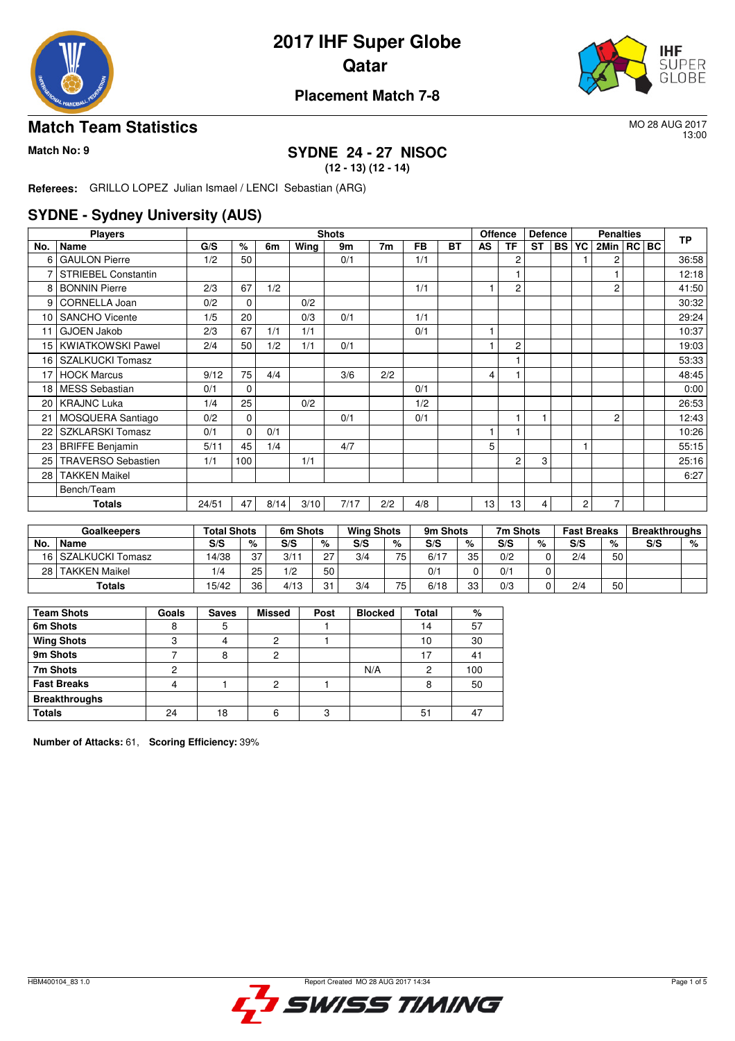

# **2017 IHF Super Globe Qatar**



### **Placement Match 7-8**

#### **Match Team Statistics** MO 28 AUG 2017

13:00

#### **Match No: 9 SYDNE 24 - 27 NISOC (12 - 13) (12 - 14)**

**Referees:** GRILLO LOPEZ Julian Ismael / LENCI Sebastian (ARG)

#### **SYDNE - Sydney University (AUS)**

|     | <b>Players</b>            |       |          |      |      | <b>Shots</b> |                |           |           | <b>Offence</b> |                | <b>Defence</b> |           |    | <b>Penalties</b> |  | <b>TP</b> |
|-----|---------------------------|-------|----------|------|------|--------------|----------------|-----------|-----------|----------------|----------------|----------------|-----------|----|------------------|--|-----------|
| No. | Name                      | G/S   | %        | 6m   | Wing | 9m           | 7 <sub>m</sub> | <b>FB</b> | <b>BT</b> | AS             | TF             | <b>ST</b>      | <b>BS</b> | YC | 2Min   RC   BC   |  |           |
| 6   | <b>GAULON Pierre</b>      | 1/2   | 50       |      |      | 0/1          |                | 1/1       |           |                | 2              |                |           |    | 2                |  | 36:58     |
| 7   | STRIEBEL Constantin       |       |          |      |      |              |                |           |           |                | 1              |                |           |    |                  |  | 12:18     |
| 8   | <b>BONNIN Pierre</b>      | 2/3   | 67       | 1/2  |      |              |                | 1/1       |           |                | $\overline{2}$ |                |           |    | $\overline{2}$   |  | 41:50     |
| 9   | CORNELLA Joan             | 0/2   | 0        |      | 0/2  |              |                |           |           |                |                |                |           |    |                  |  | 30:32     |
| 10  | <b>SANCHO Vicente</b>     | 1/5   | 20       |      | 0/3  | 0/1          |                | 1/1       |           |                |                |                |           |    |                  |  | 29:24     |
| 11  | <b>GJOEN Jakob</b>        | 2/3   | 67       | 1/1  | 1/1  |              |                | 0/1       |           |                |                |                |           |    |                  |  | 10:37     |
| 15  | <b>KWIATKOWSKI Pawel</b>  | 2/4   | 50       | 1/2  | 1/1  | 0/1          |                |           |           |                | 2              |                |           |    |                  |  | 19:03     |
| 16  | <b>SZALKUCKI Tomasz</b>   |       |          |      |      |              |                |           |           |                |                |                |           |    |                  |  | 53:33     |
| 17  | <b>HOCK Marcus</b>        | 9/12  | 75       | 4/4  |      | 3/6          | 2/2            |           |           | 4              |                |                |           |    |                  |  | 48:45     |
| 18  | MESS Sebastian            | 0/1   | $\Omega$ |      |      |              |                | 0/1       |           |                |                |                |           |    |                  |  | 0:00      |
| 20  | <b>KRAJNC Luka</b>        | 1/4   | 25       |      | 0/2  |              |                | 1/2       |           |                |                |                |           |    |                  |  | 26:53     |
| 21  | MOSQUERA Santiago         | 0/2   | 0        |      |      | 0/1          |                | 0/1       |           |                | 1              |                |           |    | $\overline{2}$   |  | 12:43     |
| 22  | <b>SZKLARSKI Tomasz</b>   | 0/1   | 0        | 0/1  |      |              |                |           |           |                |                |                |           |    |                  |  | 10:26     |
| 23  | <b>BRIFFE Benjamin</b>    | 5/11  | 45       | 1/4  |      | 4/7          |                |           |           | 5              |                |                |           |    |                  |  | 55:15     |
| 25  | <b>TRAVERSO Sebastien</b> | 1/1   | 100      |      | 1/1  |              |                |           |           |                | $\overline{2}$ | 3              |           |    |                  |  | 25:16     |
| 28  | <b>TAKKEN Maikel</b>      |       |          |      |      |              |                |           |           |                |                |                |           |    |                  |  | 6:27      |
|     | Bench/Team                |       |          |      |      |              |                |           |           |                |                |                |           |    |                  |  |           |
|     | Totals                    | 24/51 | 47       | 8/14 | 3/10 | 7/17         | 2/2            | 4/8       |           | 13             | 13             | 4              |           | 2  | 7                |  |           |

|      | <b>Goalkeepers</b>   | <b>Total Shots</b> |    | 6m Shots |    | <b>Wing Shots</b> |     | 9m Shots |    | 7m Shots |   | <b>Fast Breaks</b> |    | <b>Breakthroughs</b> |   |
|------|----------------------|--------------------|----|----------|----|-------------------|-----|----------|----|----------|---|--------------------|----|----------------------|---|
| No.  | Name                 | S/S                | %  | S/S      | %  | S/S               | %   | S/S      | %  | S/S      | % | S/S                | %  | S/S                  | % |
|      | 16 SZALKUCKI Tomasz  | 14/38              | 37 | 3/11     | n7 | 3/4               | 75. | 6/17     | 35 | 0/2      |   | 2/4                | 50 |                      |   |
| 28 I | <b>TAKKEN Maikel</b> | 1/4                | 25 | 1/2      | 50 |                   |     | 0/1      |    | 0/1      |   |                    |    |                      |   |
|      | <b>Totals</b>        | 15/42              | 36 | 4/13     | 01 | 3/4               | 75  | 6/18     | 33 | 0/3      |   | 2/4                | 50 |                      |   |

| <b>Team Shots</b>    | Goals | <b>Saves</b> | <b>Missed</b> | Post | <b>Blocked</b> | Total | %   |
|----------------------|-------|--------------|---------------|------|----------------|-------|-----|
| 6m Shots             |       |              |               |      |                | 14    | 57  |
| <b>Wing Shots</b>    | c     |              | っ             |      |                | 10    | 30  |
| 9m Shots             |       |              |               |      |                | 17    | 41  |
| 7m Shots             |       |              |               |      | N/A            | 2     | 100 |
| <b>Fast Breaks</b>   |       |              | っ             |      |                | 8     | 50  |
| <b>Breakthroughs</b> |       |              |               |      |                |       |     |
| <b>Totals</b>        | 24    | 8            | 6             | ◠    |                | 51    |     |

**Number of Attacks:** 61, **Scoring Efficiency:** 39%

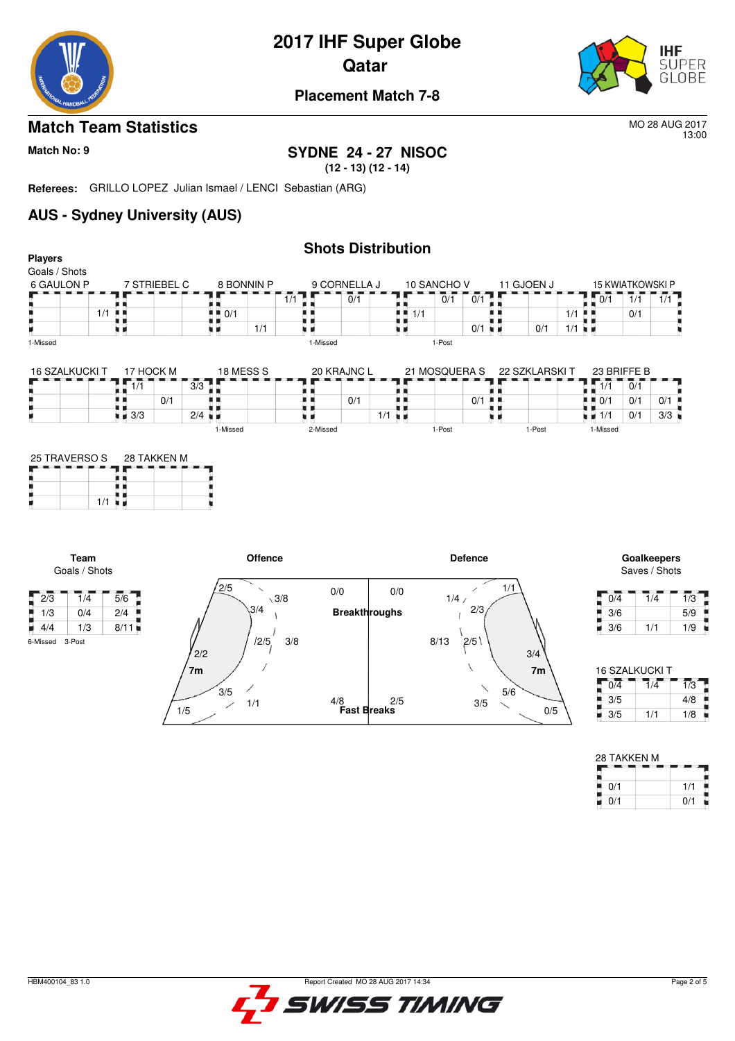

# **2017 IHF Super Globe**





#### **Placement Match 7-8**

#### **Match Team Statistics** More 2017

13:00

#### **Match No: 9 SYDNE 24 - 27 NISOC (12 - 13) (12 - 14)**

**Referees:** GRILLO LOPEZ Julian Ismael / LENCI Sebastian (ARG)

1/5

1/1

## **AUS - Sydney University (AUS)**

#### **Shots Distribution Players** Goals / Shots 9 CORNELLA J 6 GAULON P 7 STRIEBEL C 8 BONNIN P 10 SANCHO V<br> $\overline{1}$   $\overline{1}$   $\overline{1}$   $\overline{1}$   $\overline{0}$   $\overline{1}$   $\overline{0}$   $\overline{1}$   $\overline{1}$   $\overline{0}$   $\overline{1}$   $\overline{1}$   $\overline{0}$ 11 GJOEN J 15 KWIATKOWSKI P  $-$  15 KV<br> $1/1$ <br> $1/1$ <br> $...$  $\frac{1}{11}$  $\overline{0}$   $\overline{0}$   $\overline{1}$   $\overline{0}$  $1/1$   $1/1$  $\overline{0}/\overline{1}$  $\frac{1}{1}$  $\frac{1}{1/1}$  $\frac{1}{1/1}$  $\frac{1}{2}$  0/1 m  $0/1$ ۰.  $0/1$  1/1 н ψú 1/1 ٠,  $0/1$ 1-Missed 1-Missed 1-Post 16 SZALKUCKI T 17 HOCK M<br>
- - - - - - - - - - 17<br>
0/1 18 MESS S  $20$  KRAJNC L 23 BRIFFE B 21 MOSQUERA S 22 SZKLARSKI T  $1.77 - 0/1$  $3/3$   $\overline{1}$   $\overline{1}$  $\begin{array}{|c|c|c|c|c|c|}\n\hline\n1 & 1/1 & 0/1 & 0/1 \\
\hline\n0 & 0/1 & 0/1 & 0/1 \\
\hline\n1 & 1/1 & 0/1 & 3/3 \\
\hline\n\end{array}$ ł, ł, ł, š, Ĩ.  $0/1$ 0/1  $0/1$  $\frac{3}{3}$   $\frac{3}{3}$   $\frac{3}{1}$   $\frac{2}{4}$   $\frac{3}{4}$  $\frac{1}{1/1}$ t) . . н  $0/1$  3/3 1-Missed 2-Missed 1-Post 1-Post 1-Missed 25 TRAVERSO S 28 TAKKEN M ł, Ė  $1/1$ **Team Offence Defence Goalkeepers** Saves / Shots Goals / Shots  $\frac{7}{2}$ /5 1/1  $\overline{\phantom{a}}$  $0/0$  $0/0$  $2/3$  1/4 5/6  $0/4$  1/4 1/3  $\backslash$  3/8  $1/4/$ Е п  $3/4$ 2/3 1/3 0/4 2/4 **Breakthroughs** Ê 3/6 5/9 š j  $\overline{1}$ 4/4 1/3 8/11  $3/6$  1/1 1/9  $12/5$ ,  $3/8$ 6-Missed 3-Post  $8/13$   $2/5$  $^{\prime}$ <sub>2/2</sub> 3/4 **7m 7m** 16 SZALKUCKI T  $3/5$ 5/6

**Fast Breaks** 4/8

2/5

| 16 SZALKUCKI T              |     |     |  |  |  |  |  |  |  |
|-----------------------------|-----|-----|--|--|--|--|--|--|--|
| $\overline{0}/\overline{4}$ | 1/4 | 1/3 |  |  |  |  |  |  |  |
| 3/5                         |     | 4/8 |  |  |  |  |  |  |  |
| 3/5                         | 1/1 | 1/8 |  |  |  |  |  |  |  |

Р

х

0/5

3/5

| 28 TAKKEN M |     |  |  |  |  |  |  |  |
|-------------|-----|--|--|--|--|--|--|--|
| 0/1         | 1/1 |  |  |  |  |  |  |  |
| 0/1         | 0/1 |  |  |  |  |  |  |  |



ш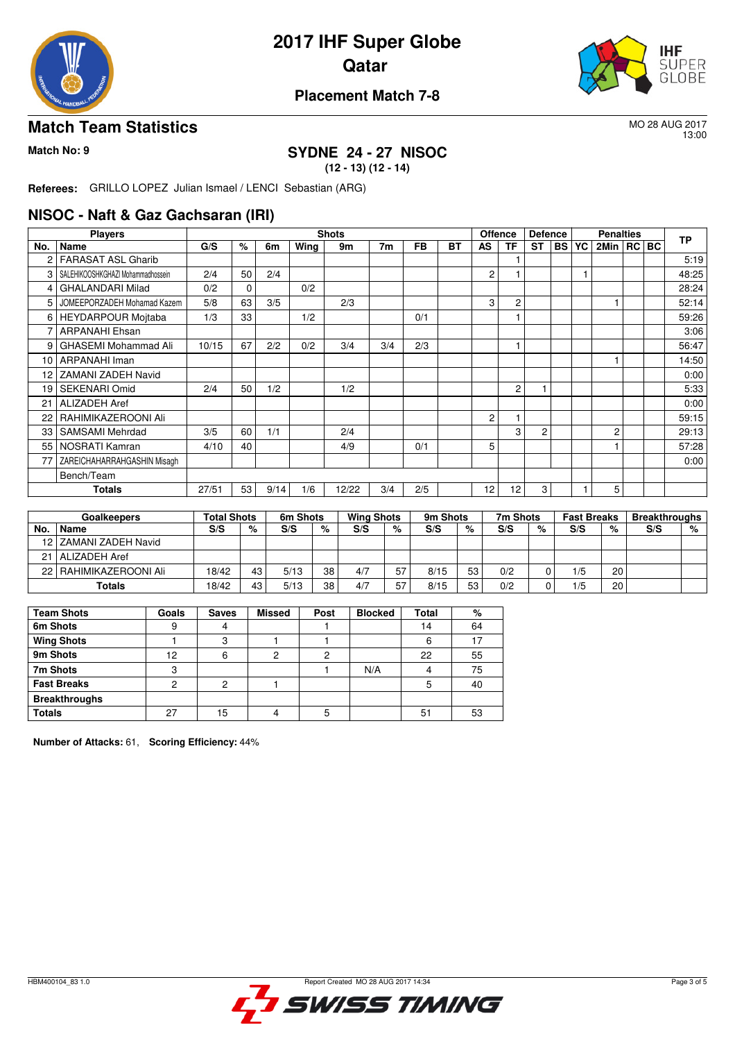

# **2017 IHF Super Globe Qatar**



### **Placement Match 7-8**

#### **Match Team Statistics** MO 28 AUG 2017

13:00

#### **Match No: 9 SYDNE 24 - 27 NISOC (12 - 13) (12 - 14)**

**Referees:** GRILLO LOPEZ Julian Ismael / LENCI Sebastian (ARG)

#### **NISOC - Naft & Gaz Gachsaran (IRI)**

|                  | <b>Players</b>                    |       |          |      |      | <b>Shots</b> |                |     |    | <b>Offence</b>  |                | <b>Defence</b><br><b>Penalties</b> |           | <b>TP</b> |      |         |       |
|------------------|-----------------------------------|-------|----------|------|------|--------------|----------------|-----|----|-----------------|----------------|------------------------------------|-----------|-----------|------|---------|-------|
| No.              | Name                              | G/S   | %        | 6m   | Wing | 9m           | 7 <sub>m</sub> | FB  | BТ | AS              | ΤF             | ST                                 | <b>BS</b> | YC        | 2Min | RC   BC |       |
| 2                | <b>FARASAT ASL Gharib</b>         |       |          |      |      |              |                |     |    |                 |                |                                    |           |           |      |         | 5:19  |
| 3                | SALEHIKOOSHKGHAZI Mohammadhossein | 2/4   | 50       | 2/4  |      |              |                |     |    | $\overline{2}$  |                |                                    |           |           |      |         | 48:25 |
| 4                | <b>GHALANDARI Milad</b>           | 0/2   | $\Omega$ |      | 0/2  |              |                |     |    |                 |                |                                    |           |           |      |         | 28:24 |
| 5                | JOMEEPORZADEH Mohamad Kazem       | 5/8   | 63       | 3/5  |      | 2/3          |                |     |    | 3               | $\overline{c}$ |                                    |           |           |      |         | 52:14 |
| 6                | <b>HEYDARPOUR Moitaba</b>         | 1/3   | 33       |      | 1/2  |              |                | 0/1 |    |                 |                |                                    |           |           |      |         | 59:26 |
| 7                | <b>ARPANAHI Ehsan</b>             |       |          |      |      |              |                |     |    |                 |                |                                    |           |           |      |         | 3:06  |
| 9                | <b>GHASEMI Mohammad Ali</b>       | 10/15 | 67       | 2/2  | 0/2  | 3/4          | 3/4            | 2/3 |    |                 | $\overline{1}$ |                                    |           |           |      |         | 56:47 |
| 10 <sup>10</sup> | ARPANAHI Iman                     |       |          |      |      |              |                |     |    |                 |                |                                    |           |           |      |         | 14:50 |
| 12               | ZAMANI ZADEH Navid                |       |          |      |      |              |                |     |    |                 |                |                                    |           |           |      |         | 0:00  |
| 19               | <b>SEKENARI Omid</b>              | 2/4   | 50       | 1/2  |      | 1/2          |                |     |    |                 | 2              |                                    |           |           |      |         | 5:33  |
| 21               | <b>ALIZADEH Aref</b>              |       |          |      |      |              |                |     |    |                 |                |                                    |           |           |      |         | 0:00  |
| 22               | RAHIMIKAZEROONI Ali               |       |          |      |      |              |                |     |    | $\overline{c}$  |                |                                    |           |           |      |         | 59:15 |
| 33               | <b>SAMSAMI Mehrdad</b>            | 3/5   | 60       | 1/1  |      | 2/4          |                |     |    |                 | 3              | $\overline{2}$                     |           |           | 2    |         | 29:13 |
| 55               | NOSRATI Kamran                    | 4/10  | 40       |      |      | 4/9          |                | 0/1 |    | 5               |                |                                    |           |           |      |         | 57:28 |
| 77               | ZAREICHAHARRAHGASHIN Misagh       |       |          |      |      |              |                |     |    |                 |                |                                    |           |           |      |         | 0:00  |
|                  | Bench/Team                        |       |          |      |      |              |                |     |    |                 |                |                                    |           |           |      |         |       |
|                  | <b>Totals</b>                     | 27/51 | 53       | 9/14 | 1/6  | 12/22        | 3/4            | 2/5 |    | 12 <sub>1</sub> | 12             | 3 <sub>1</sub>                     |           |           | 5    |         |       |

|     | <b>Goalkeepers</b>       | <b>Total Shots</b> |    | 6m Shots |    | <b>Wing Shots</b> |    | 9m Shots |    | 7m Shots |   | <b>Fast Breaks</b> |    | <b>Breakthroughs</b> |   |
|-----|--------------------------|--------------------|----|----------|----|-------------------|----|----------|----|----------|---|--------------------|----|----------------------|---|
| No. | <b>Name</b>              | S/S                | %  | S/S      | %  | S/S               | %  | S/S      | %  | S/S      | % | S/S                | %  | S/S                  | % |
|     | 12 ZAMANI ZADEH Navid    |                    |    |          |    |                   |    |          |    |          |   |                    |    |                      |   |
|     | 21   ALIZADEH Aref       |                    |    |          |    |                   |    |          |    |          |   |                    |    |                      |   |
|     | 22   RAHIMIKAZEROONI Ali | 18/42              | 43 | 5/13     | 38 | 4/7               | 57 | 8/15     | 53 | 0/2      |   | 1/5                | 20 |                      |   |
|     | Totals                   | 18/42              | 43 | 5/13     | 38 | 4/7               | 57 | 8/15     | 53 | 0/2      |   | 1/5                | 20 |                      |   |

| <b>Team Shots</b>    | Goals | <b>Saves</b> | <b>Missed</b> | Post | <b>Blocked</b> | Total | %  |
|----------------------|-------|--------------|---------------|------|----------------|-------|----|
| 6m Shots             | 9     |              |               |      |                | 14    | 64 |
| <b>Wing Shots</b>    |       | ◠            |               |      |                | 6     | 17 |
| 9m Shots             | 12    | 6            | ◠             | റ    |                | 22    | 55 |
| 7m Shots             | 3     |              |               |      | N/A            | 4     | 75 |
| <b>Fast Breaks</b>   | າ     | ົ            |               |      |                | 5     | 40 |
| <b>Breakthroughs</b> |       |              |               |      |                |       |    |
| <b>Totals</b>        | 27    | 15           |               | 5    |                | 51    | 53 |

**Number of Attacks:** 61, **Scoring Efficiency:** 44%

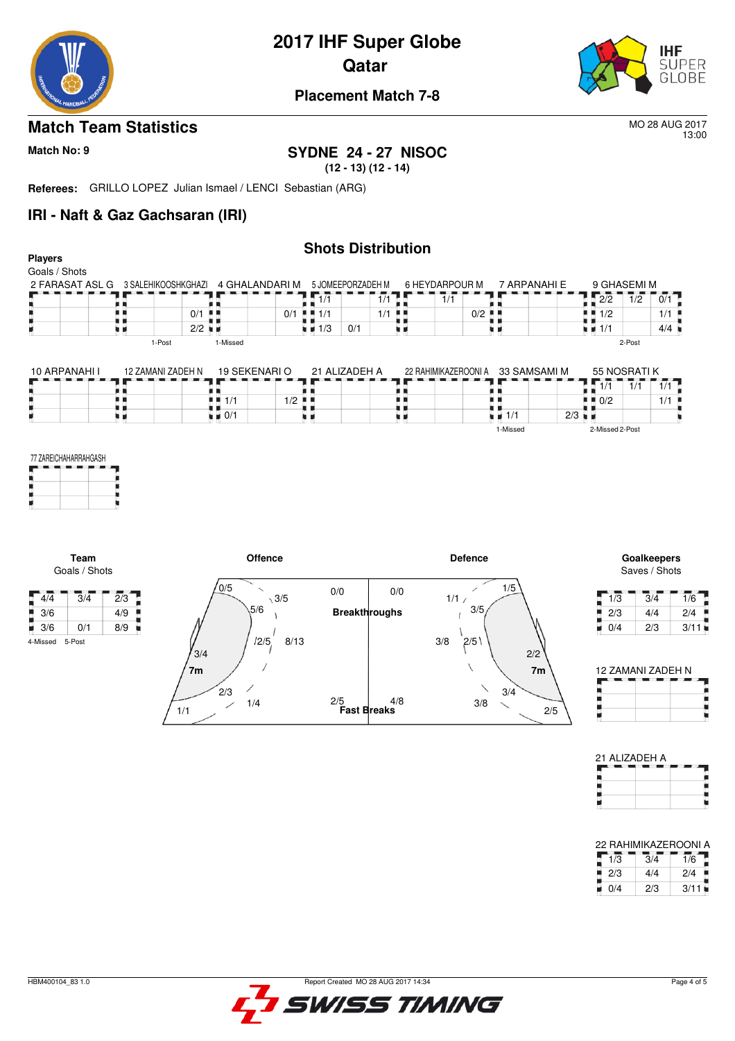

# **2017 IHF Super Globe**

**Qatar** 



#### **Placement Match 7-8**

#### **Match Team Statistics** MO 28 AUG 2017

13:00

**Players**

# **Match No: 9 SYDNE 24 - 27 NISOC**

**(12 - 13) (12 - 14)**

**Referees:** GRILLO LOPEZ Julian Ismael / LENCI Sebastian (ARG)

1/1

#### **IRI - Naft & Gaz Gachsaran (IRI)**

#### **Shots Distribution**

| $\sqrt{4/4}$<br>3/6<br>$\blacksquare$ 3/6 | Team<br>Goals / Shots<br>$\overline{2}/3$<br>3/4<br>4/9<br>8/9<br>0/1<br>٠ | 0/5                               | <b>Offence</b><br>$\overline{\phantom{0}}$<br>$\sqrt{3/5}$<br>5/6<br>12/5<br>8/13 | 0/0<br>0/0<br><b>Breakthroughs</b> | <b>Defence</b><br>1/5<br>1/1/<br>3/5<br>3/8<br>2/5 | 1/3<br>2/3<br>۰<br>0/4<br>u.                               | Goalkeepers<br>Saves / Shots<br>$\overline{1/6}$<br>3/4<br>2/4<br>4/4<br>2/3<br>3/11 |
|-------------------------------------------|----------------------------------------------------------------------------|-----------------------------------|-----------------------------------------------------------------------------------|------------------------------------|----------------------------------------------------|------------------------------------------------------------|--------------------------------------------------------------------------------------|
|                                           |                                                                            |                                   |                                                                                   |                                    |                                                    |                                                            |                                                                                      |
|                                           |                                                                            |                                   |                                                                                   |                                    |                                                    |                                                            |                                                                                      |
|                                           |                                                                            |                                   |                                                                                   |                                    |                                                    |                                                            |                                                                                      |
|                                           |                                                                            |                                   |                                                                                   |                                    |                                                    |                                                            |                                                                                      |
|                                           |                                                                            |                                   |                                                                                   |                                    |                                                    |                                                            |                                                                                      |
|                                           | 77 ZAREICHAHARRAHGASH                                                      |                                   |                                                                                   |                                    | 1-Missed                                           | 2-Missed 2-Post                                            |                                                                                      |
|                                           | 原则                                                                         | $\blacksquare$ $\blacksquare$ 0/1 | 9 H                                                                               | . .<br>u p                         | $\blacksquare$ $\blacksquare$ 1/1                  | $2/3$ $\blacksquare$                                       |                                                                                      |
|                                           | . .                                                                        | 1/1                               | $1/2$ .                                                                           | . .<br>. .                         |                                                    | $\blacksquare$ $\blacksquare$ 0/2                          | 1/1                                                                                  |
|                                           | 10 ARPANAHI I                                                              | 12 ZAMANI ZADEH N                 | 19 SEKENARIO                                                                      | 21 ALIZADEH A                      | 22 RAHIMIKAZEROONI A 33 SAMSAMI M                  | 55 NOSRATIK<br>$\sqrt{1/1}$<br>$\overline{1}/\overline{1}$ | 1/1                                                                                  |
|                                           |                                                                            | 1-Missed<br>1-Post                |                                                                                   |                                    |                                                    | 2-Post                                                     |                                                                                      |
|                                           |                                                                            |                                   |                                                                                   | 0/1<br>u 11                        | . .                                                | $\blacksquare$ $\blacksquare$ 1/1                          | 4/4                                                                                  |
|                                           | 星期                                                                         | $2/2$ $\blacksquare$              | $\blacksquare$ $\blacksquare$ 1/3                                                 |                                    |                                                    | $\blacksquare$ 1/2                                         | 1/1                                                                                  |
|                                           | . .                                                                        | $0/1$                             | 1/1<br>$0/1$ $\blacksquare$ 1/1                                                   | 1/1<br>. .                         | $0/2$ $\blacksquare$                               | $\overline{2/2}$                                           |                                                                                      |



| 12 ZAMANI ZADEH N |  |
|-------------------|--|
|                   |  |
|                   |  |
|                   |  |

| 21 ALIZADEH A |  |
|---------------|--|
|               |  |
|               |  |
|               |  |
|               |  |

| 22 RAHIMIKAZEROONI A |     |      |
|----------------------|-----|------|
| 1/3                  | 3/4 | 1/6  |
| 2/3                  | 4/4 | 2/4  |
| 0/4                  | 2/3 | 3/11 |